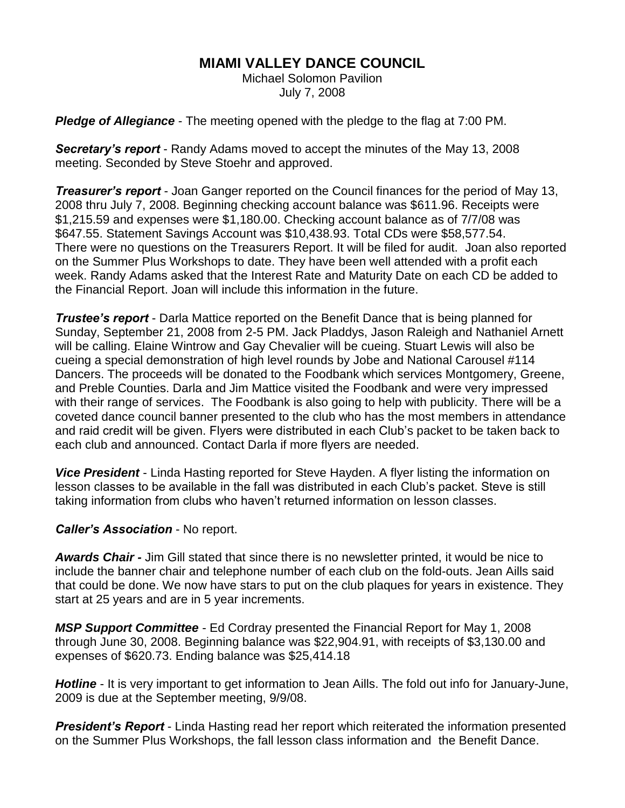## **MIAMI VALLEY DANCE COUNCIL**

Michael Solomon Pavilion July 7, 2008

*Pledge of Allegiance* - The meeting opened with the pledge to the flag at 7:00 PM.

*Secretary's report* - Randy Adams moved to accept the minutes of the May 13, 2008 meeting. Seconded by Steve Stoehr and approved.

*Treasurer's report* - Joan Ganger reported on the Council finances for the period of May 13, 2008 thru July 7, 2008. Beginning checking account balance was \$611.96. Receipts were \$1,215.59 and expenses were \$1,180.00. Checking account balance as of 7/7/08 was \$647.55. Statement Savings Account was \$10,438.93. Total CDs were \$58,577.54. There were no questions on the Treasurers Report. It will be filed for audit. Joan also reported on the Summer Plus Workshops to date. They have been well attended with a profit each week. Randy Adams asked that the Interest Rate and Maturity Date on each CD be added to the Financial Report. Joan will include this information in the future.

*Trustee's report* - Darla Mattice reported on the Benefit Dance that is being planned for Sunday, September 21, 2008 from 2-5 PM. Jack Pladdys, Jason Raleigh and Nathaniel Arnett will be calling. Elaine Wintrow and Gay Chevalier will be cueing. Stuart Lewis will also be cueing a special demonstration of high level rounds by Jobe and National Carousel #114 Dancers. The proceeds will be donated to the Foodbank which services Montgomery, Greene, and Preble Counties. Darla and Jim Mattice visited the Foodbank and were very impressed with their range of services. The Foodbank is also going to help with publicity. There will be a coveted dance council banner presented to the club who has the most members in attendance and raid credit will be given. Flyers were distributed in each Club's packet to be taken back to each club and announced. Contact Darla if more flyers are needed.

*Vice President* - Linda Hasting reported for Steve Hayden. A flyer listing the information on lesson classes to be available in the fall was distributed in each Club's packet. Steve is still taking information from clubs who haven't returned information on lesson classes.

## *Caller's Association* - No report.

*Awards Chair -* Jim Gill stated that since there is no newsletter printed, it would be nice to include the banner chair and telephone number of each club on the fold-outs. Jean Aills said that could be done. We now have stars to put on the club plaques for years in existence. They start at 25 years and are in 5 year increments.

*MSP Support Committee* - Ed Cordray presented the Financial Report for May 1, 2008 through June 30, 2008. Beginning balance was \$22,904.91, with receipts of \$3,130.00 and expenses of \$620.73. Ending balance was \$25,414.18

*Hotline* - It is very important to get information to Jean Aills. The fold out info for January-June, 2009 is due at the September meeting, 9/9/08.

*President's Report* - Linda Hasting read her report which reiterated the information presented on the Summer Plus Workshops, the fall lesson class information and the Benefit Dance.